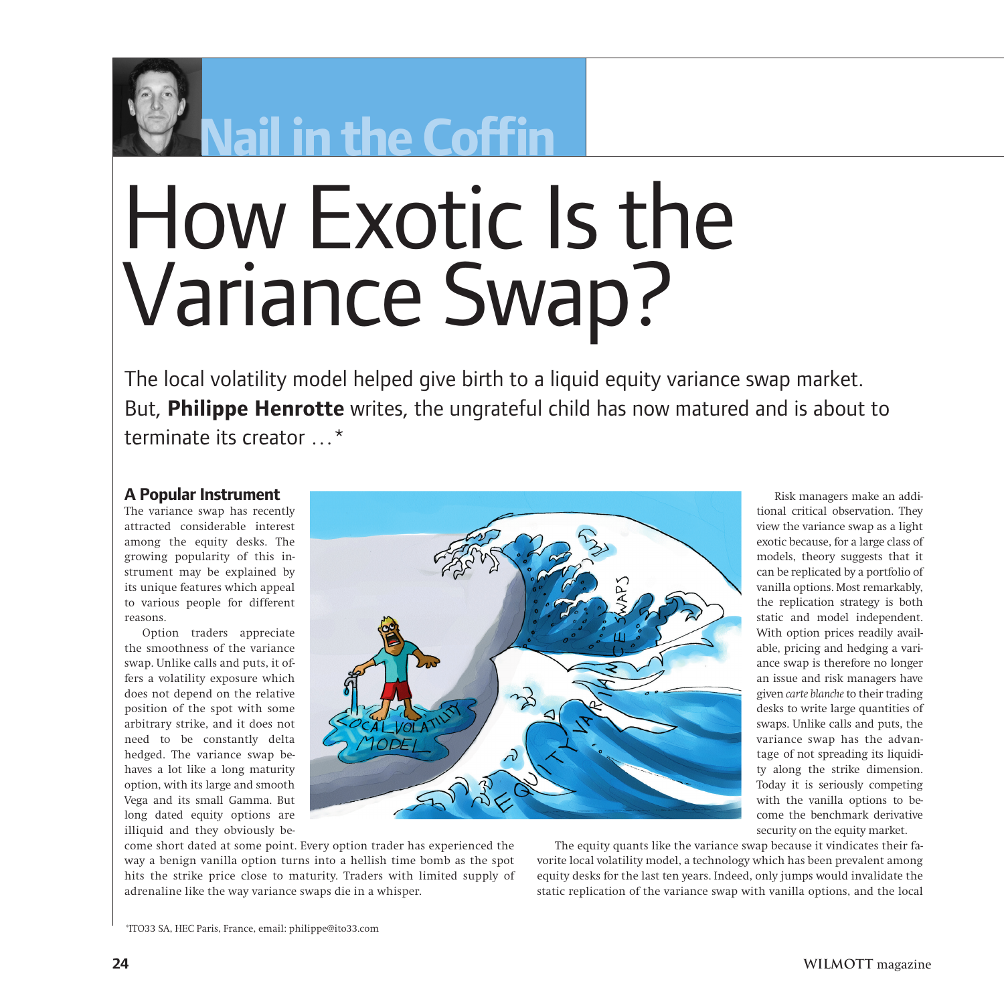

# **Nail in the Coffin**

# How Exotic Is the Variance Swap?

The local volatility model helped give birth to a liquid equity variance swap market. But, **Philippe Henrotte** writes, the ungrateful child has now matured and is about to terminate its creator …\*

# **A Popular Instrument**

The variance swap has recently attracted considerable interest among the equity desks. The growing popularity of this instrument may be explained by its unique features which appeal to various people for different reasons.

Option traders appreciate the smoothness of the variance swap. Unlike calls and puts, it offers a volatility exposure which does not depend on the relative position of the spot with some arbitrary strike, and it does not need to be constantly delta hedged. The variance swap behaves a lot like a long maturity option, with its large and smooth Vega and its small Gamma. But long dated equity options are illiquid and they obviously be-



Risk managers make an additional critical observation. They view the variance swap as a light exotic because, for a large class of models, theory suggests that it can be replicated by a portfolio of vanilla options. Most remarkably, the replication strategy is both static and model independent. With option prices readily available, pricing and hedging a variance swap is therefore no longer an issue and risk managers have given *carte blanche*to their trading desks to write large quantities of swaps. Unlike calls and puts, the variance swap has the advantage of not spreading its liquidity along the strike dimension. Today it is seriously competing with the vanilla options to become the benchmark derivative security on the equity market.

come short dated at some point. Every option trader has experienced the way a benign vanilla option turns into a hellish time bomb as the spot hits the strike price close to maturity. Traders with limited supply of adrenaline like the way variance swaps die in a whisper.

The equity quants like the variance swap because it vindicates their favorite local volatility model, a technology which has been prevalent among equity desks for the last ten years. Indeed, only jumps would invalidate the static replication of the variance swap with vanilla options, and the local

\*ITO33 SA, HEC Paris, France, email: philippe@ito33.com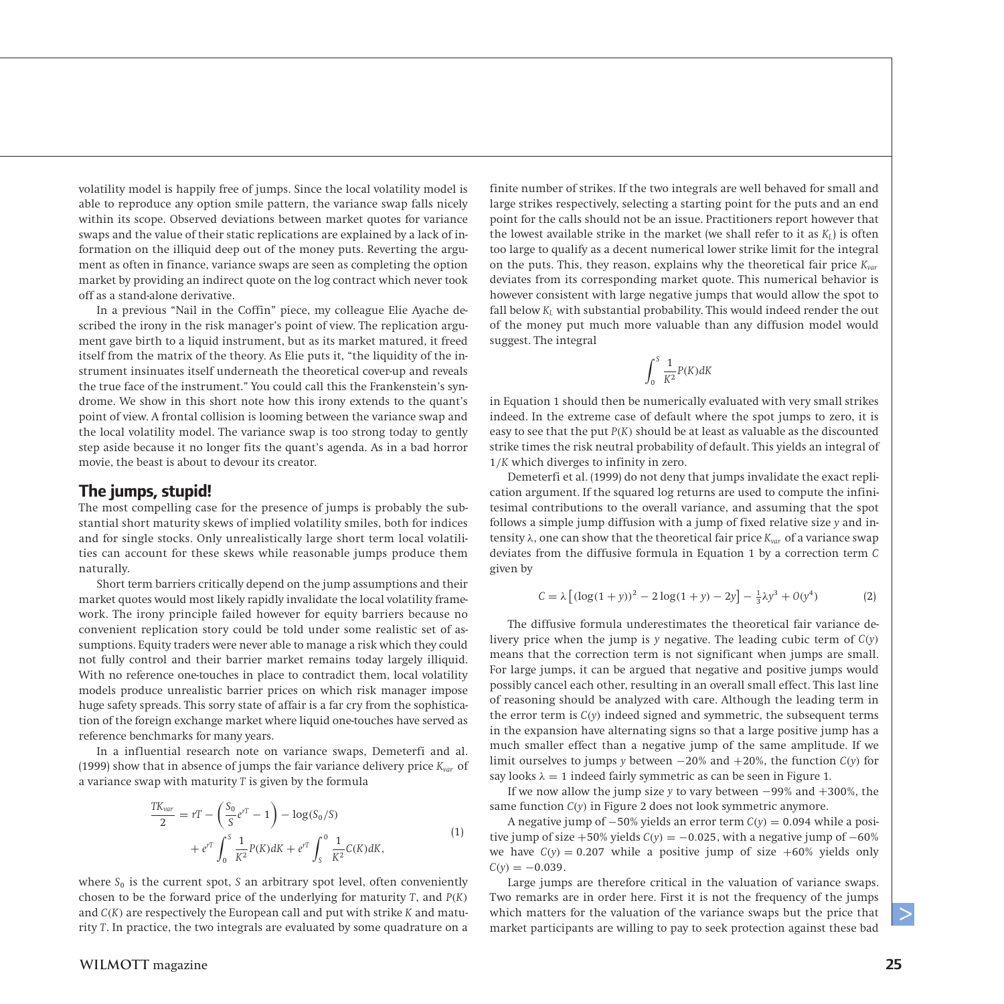volatility model is happily free of jumps. Since the local volatility model is able to reproduce any option smile pattern, the variance swap falls nicely within its scope. Observed deviations between market quotes for variance swaps and the value of their static replications are explained by a lack of information on the illiquid deep out of the money puts. Reverting the argument as often in finance, variance swaps are seen as completing the option market by providing an indirect quote on the log contract which never took off as a stand-alone derivative.

In a previous "Nail in the Coffin" piece, my colleague Elie Ayache described the irony in the risk manager's point of view. The replication argument gave birth to a liquid instrument, but as its market matured, it freed itself from the matrix of the theory. As Elie puts it, "the liquidity of the instrument insinuates itself underneath the theoretical cover-up and reveals the true face of the instrument." You could call this the Frankenstein's syndrome. We show in this short note how this irony extends to the quant's point of view. A frontal collision is looming between the variance swap and the local volatility model. The variance swap is too strong today to gently step aside because it no longer fits the quant's agenda. As in a bad horror movie, the beast is about to devour its creator.

#### **The jumps, stupid!**

The most compelling case for the presence of jumps is probably the substantial short maturity skews of implied volatility smiles, both for indices and for single stocks. Only unrealistically large short term local volatilities can account for these skews while reasonable jumps produce them naturally.

Short term barriers critically depend on the jump assumptions and their market quotes would most likely rapidly invalidate the local volatility framework. The irony principle failed however for equity barriers because no convenient replication story could be told under some realistic set of assumptions. Equity traders were never able to manage a risk which they could not fully control and their barrier market remains today largely illiquid. With no reference one-touches in place to contradict them, local volatility models produce unrealistic barrier prices on which risk manager impose huge safety spreads. This sorry state of affair is a far cry from the sophistication of the foreign exchange market where liquid one-touches have served as reference benchmarks for many years.

In a influential research note on variance swaps, Demeterfi and al. (1999) show that in absence of jumps the fair variance delivery price *Kvar* of a variance swap with maturity *T* is given by the formula

$$
\frac{TK_{var}}{2} = rT - \left(\frac{S_0}{S}e^{rT} - 1\right) - \log(S_0/S) \n+ e^{rT} \int_0^S \frac{1}{K^2} P(K) dK + e^{rT} \int_S^0 \frac{1}{K^2} C(K) dK,
$$
\n(1)

where  $S_0$  is the current spot,  $S$  an arbitrary spot level, often conveniently chosen to be the forward price of the underlying for maturity *T*, and *P(K)* and *C(K)* are respectively the European call and put with strike *K* and maturity *T*. In practice, the two integrals are evaluated by some quadrature on a finite number of strikes. If the two integrals are well behaved for small and large strikes respectively, selecting a starting point for the puts and an end point for the calls should not be an issue. Practitioners report however that the lowest available strike in the market (we shall refer to it as  $K<sub>L</sub>$ ) is often too large to qualify as a decent numerical lower strike limit for the integral on the puts. This, they reason, explains why the theoretical fair price *Kvar* deviates from its corresponding market quote. This numerical behavior is however consistent with large negative jumps that would allow the spot to fall below  $K_L$  with substantial probability. This would indeed render the out of the money put much more valuable than any diffusion model would suggest. The integral

$$
\int_0^S \frac{1}{K^2} P(K) dK
$$

in Equation 1 should then be numerically evaluated with very small strikes indeed. In the extreme case of default where the spot jumps to zero, it is easy to see that the put *P(K)* should be at least as valuable as the discounted strike times the risk neutral probability of default. This yields an integral of 1*/K* which diverges to infinity in zero.

Demeterfi et al. (1999) do not deny that jumps invalidate the exact replication argument. If the squared log returns are used to compute the infinitesimal contributions to the overall variance, and assuming that the spot follows a simple jump diffusion with a jump of fixed relative size *y* and intensity *λ*, one can show that the theoretical fair price *Kvar* of a variance swap deviates from the diffusive formula in Equation 1 by a correction term *C* given by

$$
C = \lambda \left[ (\log(1+y))^2 - 2\log(1+y) - 2y \right] - \frac{1}{3}\lambda y^3 + O(y^4)
$$
 (2)

The diffusive formula underestimates the theoretical fair variance delivery price when the jump is *y* negative. The leading cubic term of *C(y)* means that the correction term is not significant when jumps are small. For large jumps, it can be argued that negative and positive jumps would possibly cancel each other, resulting in an overall small effect. This last line of reasoning should be analyzed with care. Although the leading term in the error term is *C(y)* indeed signed and symmetric, the subsequent terms in the expansion have alternating signs so that a large positive jump has a much smaller effect than a negative jump of the same amplitude. If we limit ourselves to jumps *y* between −20% and +20%, the function *C(y)* for say looks  $\lambda = 1$  indeed fairly symmetric as can be seen in Figure 1.

If we now allow the jump size *y* to vary between −99% and +300%, the same function *C(y)* in Figure 2 does not look symmetric anymore.

A negative jump of −50% yields an error term *C(y)* = 0*.*094 while a positive jump of size  $+50\%$  yields  $C(y) = -0.025$ , with a negative jump of  $-60\%$ we have  $C(y) = 0.207$  while a positive jump of size  $+60\%$  yields only  $C(v) = -0.039$ .

Large jumps are therefore critical in the valuation of variance swaps. Two remarks are in order here. First it is not the frequency of the jumps which matters for the valuation of the variance swaps but the price that market participants are willing to pay to seek protection against these bad

 $\geq$